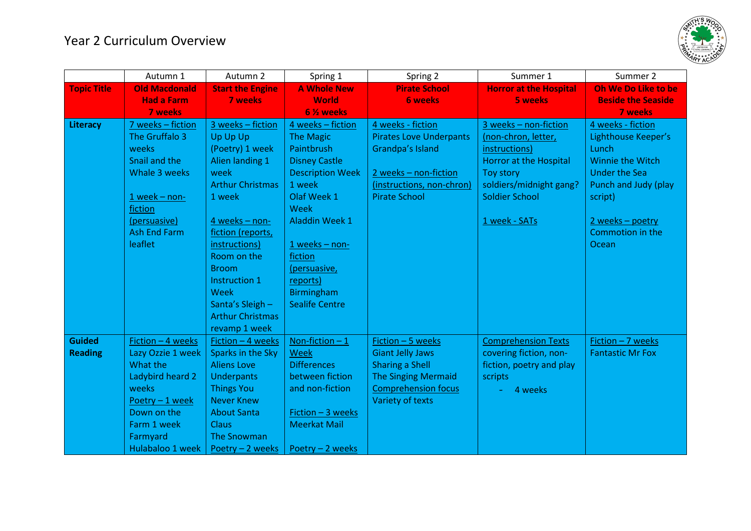

|                    | Autumn 1             | Autumn 2                | Spring 1                | Spring 2                       | Summer 1                      | Summer 2                  |
|--------------------|----------------------|-------------------------|-------------------------|--------------------------------|-------------------------------|---------------------------|
| <b>Topic Title</b> | <b>Old Macdonald</b> | <b>Start the Engine</b> | <b>A Whole New</b>      | <b>Pirate School</b>           | <b>Horror at the Hospital</b> | Oh We Do Like to be       |
|                    | <b>Had a Farm</b>    | <b>7 weeks</b>          | <b>World</b>            | <b>6 weeks</b>                 | <b>5 weeks</b>                | <b>Beside the Seaside</b> |
|                    | <b>7 weeks</b>       |                         | 6 % weeks               |                                |                               | <b>7 weeks</b>            |
| Literacy           | 7 weeks - fiction    | 3 weeks - fiction       | 4 weeks - fiction       | 4 weeks - fiction              | 3 weeks - non-fiction         | 4 weeks - fiction         |
|                    | The Gruffalo 3       | Up Up Up                | <b>The Magic</b>        | <b>Pirates Love Underpants</b> | (non-chron, letter,           | Lighthouse Keeper's       |
|                    | weeks                | (Poetry) 1 week         | Paintbrush              | Grandpa's Island               | instructions)                 | Lunch                     |
|                    | Snail and the        | Alien landing 1         | <b>Disney Castle</b>    |                                | <b>Horror at the Hospital</b> | <b>Winnie the Witch</b>   |
|                    | Whale 3 weeks        | week                    | <b>Description Week</b> | 2 weeks - non-fiction          | Toy story                     | <b>Under the Sea</b>      |
|                    |                      | <b>Arthur Christmas</b> | 1 week                  | (instructions, non-chron)      | soldiers/midnight gang?       | Punch and Judy (play      |
|                    | $1$ week - non-      | 1 week                  | Olaf Week 1             | <b>Pirate School</b>           | <b>Soldier School</b>         | script)                   |
|                    | fiction              |                         | Week                    |                                |                               |                           |
|                    | (persuasive)         | 4 weeks - non-          | <b>Aladdin Week 1</b>   |                                | 1 week - SATs                 | $2$ weeks - poetry        |
|                    | <b>Ash End Farm</b>  | fiction (reports,       |                         |                                |                               | Commotion in the          |
|                    | leaflet              | instructions)           | $1$ weeks - non-        |                                |                               | Ocean                     |
|                    |                      | Room on the             | fiction                 |                                |                               |                           |
|                    |                      | <b>Broom</b>            | (persuasive,            |                                |                               |                           |
|                    |                      | Instruction 1           | reports)                |                                |                               |                           |
|                    |                      | <b>Week</b>             | <b>Birmingham</b>       |                                |                               |                           |
|                    |                      | Santa's Sleigh -        | <b>Sealife Centre</b>   |                                |                               |                           |
|                    |                      | <b>Arthur Christmas</b> |                         |                                |                               |                           |
|                    |                      | revamp 1 week           |                         |                                |                               |                           |
| <b>Guided</b>      | Fiction - 4 weeks    | Fiction - 4 weeks       | Non-fiction $-1$        | Fiction - 5 weeks              | <b>Comprehension Texts</b>    | Fiction - 7 weeks         |
| <b>Reading</b>     | Lazy Ozzie 1 week    | Sparks in the Sky       | <b>Week</b>             | <b>Giant Jelly Jaws</b>        | covering fiction, non-        | <b>Fantastic Mr Fox</b>   |
|                    | What the             | <b>Aliens Love</b>      | <b>Differences</b>      | <b>Sharing a Shell</b>         | fiction, poetry and play      |                           |
|                    | Ladybird heard 2     | <b>Underpants</b>       | between fiction         | <b>The Singing Mermaid</b>     | scripts                       |                           |
|                    | weeks                | <b>Things You</b>       | and non-fiction         | <b>Comprehension focus</b>     | 4 weeks                       |                           |
|                    | Poetry - 1 week      | <b>Never Knew</b>       |                         | Variety of texts               |                               |                           |
|                    | Down on the          | <b>About Santa</b>      | Fiction - 3 weeks       |                                |                               |                           |
|                    | Farm 1 week          | Claus                   | <b>Meerkat Mail</b>     |                                |                               |                           |
|                    | Farmyard             | <b>The Snowman</b>      |                         |                                |                               |                           |
|                    | Hulabaloo 1 week     | Poetry - 2 weeks        | Poetry - 2 weeks        |                                |                               |                           |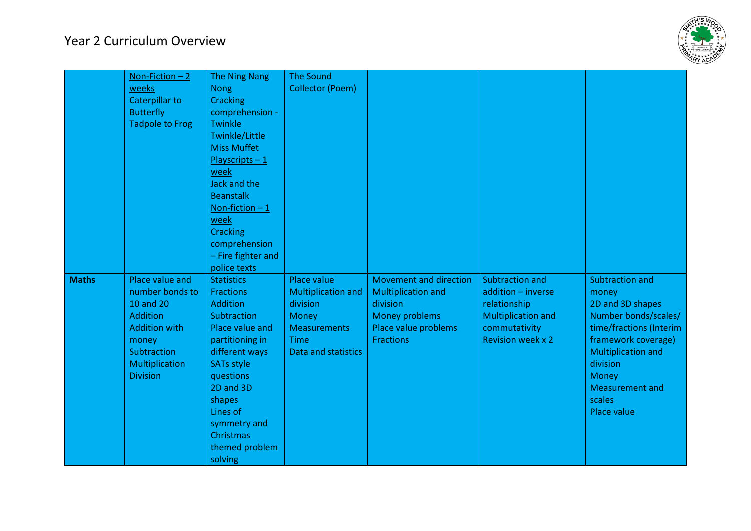

|              | Non-Fiction $-2$<br>weeks<br><b>Caterpillar to</b><br><b>Butterfly</b><br><b>Tadpole to Frog</b>                                                               | <b>The Ning Nang</b><br><b>Nong</b><br><b>Cracking</b><br>comprehension -<br><b>Twinkle</b><br><b>Twinkle/Little</b><br><b>Miss Muffet</b><br>$Playscripts - 1$<br>week<br>Jack and the<br><b>Beanstalk</b><br>Non-fiction $-1$<br>week<br>Cracking<br>comprehension<br>- Fire fighter and<br>police texts | <b>The Sound</b><br><b>Collector (Poem)</b>                                                                                |                                                                                                                                      |                                                                                                                                 |                                                                                                                                                                                                                                           |
|--------------|----------------------------------------------------------------------------------------------------------------------------------------------------------------|------------------------------------------------------------------------------------------------------------------------------------------------------------------------------------------------------------------------------------------------------------------------------------------------------------|----------------------------------------------------------------------------------------------------------------------------|--------------------------------------------------------------------------------------------------------------------------------------|---------------------------------------------------------------------------------------------------------------------------------|-------------------------------------------------------------------------------------------------------------------------------------------------------------------------------------------------------------------------------------------|
| <b>Maths</b> | Place value and<br>number bonds to<br><b>10 and 20</b><br><b>Addition</b><br><b>Addition with</b><br>money<br>Subtraction<br>Multiplication<br><b>Division</b> | <b>Statistics</b><br><b>Fractions</b><br><b>Addition</b><br>Subtraction<br>Place value and<br>partitioning in<br>different ways<br><b>SATs style</b><br>questions<br>2D and 3D<br>shapes<br>Lines of<br>symmetry and<br>Christmas<br>themed problem<br>solving                                             | Place value<br><b>Multiplication and</b><br>division<br>Money<br><b>Measurements</b><br>Time<br><b>Data and statistics</b> | <b>Movement and direction</b><br><b>Multiplication and</b><br>division<br>Money problems<br>Place value problems<br><b>Fractions</b> | Subtraction and<br>addition - inverse<br>relationship<br><b>Multiplication and</b><br>commutativity<br><b>Revision week x 2</b> | Subtraction and<br>money<br>2D and 3D shapes<br>Number bonds/scales/<br>time/fractions (Interim<br>framework coverage)<br><b>Multiplication and</b><br>division<br><b>Money</b><br><b>Measurement and</b><br>scales<br><b>Place value</b> |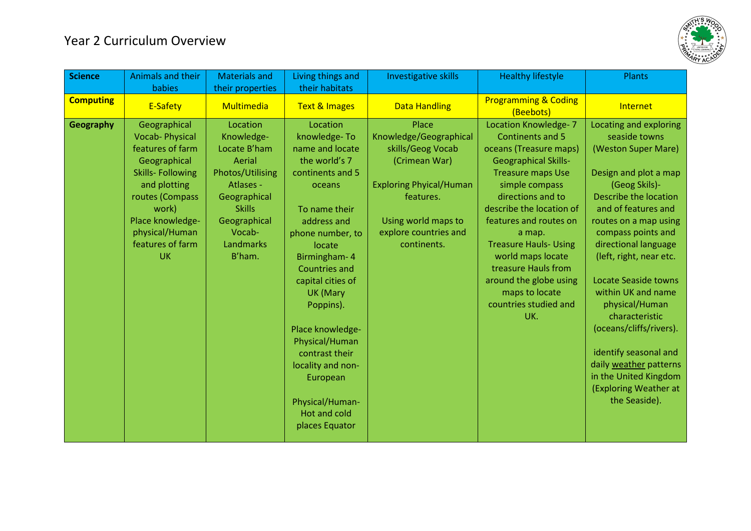

| <b>Science</b>   | Animals and their       | <b>Materials and</b> | Living things and    | Investigative skills           | <b>Healthy lifestyle</b>                     | Plants                  |
|------------------|-------------------------|----------------------|----------------------|--------------------------------|----------------------------------------------|-------------------------|
|                  | babies                  | their properties     | their habitats       |                                |                                              |                         |
| <b>Computing</b> | E-Safety                | Multimedia           | Text & Images        | <b>Data Handling</b>           | <b>Programming &amp; Coding</b><br>(Beebots) | Internet                |
| Geography        | Geographical            | Location             | Location             | Place                          | <b>Location Knowledge-7</b>                  | Locating and exploring  |
|                  | <b>Vocab-Physical</b>   | Knowledge-           | knowledge-To         | Knowledge/Geographical         | <b>Continents and 5</b>                      | seaside towns           |
|                  | features of farm        | Locate B'ham         | name and locate      | skills/Geog Vocab              | oceans (Treasure maps)                       | (Weston Super Mare)     |
|                  | Geographical            | Aerial               | the world's 7        | (Crimean War)                  | <b>Geographical Skills-</b>                  |                         |
|                  | <b>Skills-Following</b> | Photos/Utilising     | continents and 5     |                                | <b>Treasure maps Use</b>                     | Design and plot a map   |
|                  | and plotting            | Atlases -            | oceans               | <b>Exploring Phyical/Human</b> | simple compass                               | (Geog Skils)-           |
|                  | routes (Compass         | Geographical         |                      | features.                      | directions and to                            | Describe the location   |
|                  | work)                   | <b>Skills</b>        | To name their        |                                | describe the location of                     | and of features and     |
|                  | Place knowledge-        | Geographical         | address and          | Using world maps to            | features and routes on                       | routes on a map using   |
|                  | physical/Human          | Vocab-               | phone number, to     | explore countries and          | a map.                                       | compass points and      |
|                  | features of farm        | Landmarks            | locate               | continents.                    | <b>Treasure Hauls- Using</b>                 | directional language    |
|                  | <b>UK</b>               | B'ham.               | Birmingham- 4        |                                | world maps locate                            | (left, right, near etc. |
|                  |                         |                      | <b>Countries and</b> |                                | treasure Hauls from                          |                         |
|                  |                         |                      | capital cities of    |                                | around the globe using                       | Locate Seaside towns    |
|                  |                         |                      | <b>UK (Mary</b>      |                                | maps to locate                               | within UK and name      |
|                  |                         |                      | Poppins).            |                                | countries studied and                        | physical/Human          |
|                  |                         |                      |                      |                                | UK.                                          | characteristic          |
|                  |                         |                      | Place knowledge-     |                                |                                              | (oceans/cliffs/rivers). |
|                  |                         |                      | Physical/Human       |                                |                                              |                         |
|                  |                         |                      | contrast their       |                                |                                              | identify seasonal and   |
|                  |                         |                      | locality and non-    |                                |                                              | daily weather patterns  |
|                  |                         |                      | European             |                                |                                              | in the United Kingdom   |
|                  |                         |                      |                      |                                |                                              | (Exploring Weather at   |
|                  |                         |                      | Physical/Human-      |                                |                                              | the Seaside).           |
|                  |                         |                      | Hot and cold         |                                |                                              |                         |
|                  |                         |                      | places Equator       |                                |                                              |                         |
|                  |                         |                      |                      |                                |                                              |                         |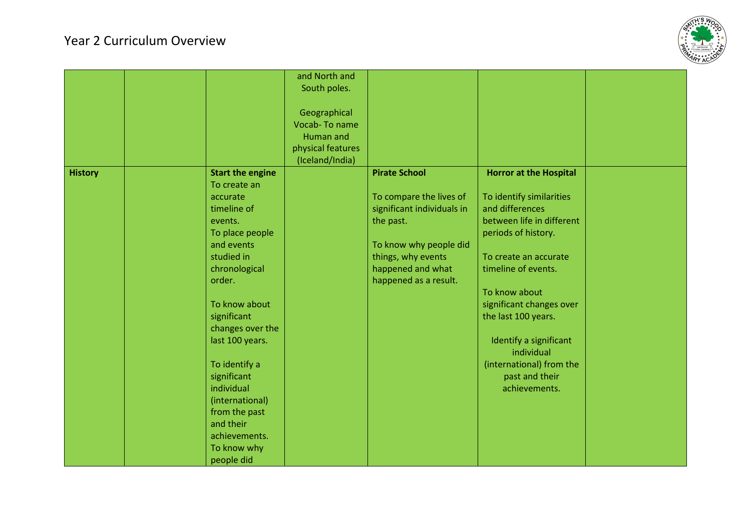## Year 2 Curriculum Overview



|                |                         | and North and     |                            |                               |  |
|----------------|-------------------------|-------------------|----------------------------|-------------------------------|--|
|                |                         | South poles.      |                            |                               |  |
|                |                         |                   |                            |                               |  |
|                |                         | Geographical      |                            |                               |  |
|                |                         | Vocab-To name     |                            |                               |  |
|                |                         | <b>Human and</b>  |                            |                               |  |
|                |                         | physical features |                            |                               |  |
|                |                         | (Iceland/India)   |                            |                               |  |
| <b>History</b> | <b>Start the engine</b> |                   | <b>Pirate School</b>       | <b>Horror at the Hospital</b> |  |
|                | To create an            |                   |                            |                               |  |
|                | accurate                |                   | To compare the lives of    | To identify similarities      |  |
|                | timeline of             |                   | significant individuals in | and differences               |  |
|                | events.                 |                   | the past.                  | between life in different     |  |
|                | To place people         |                   |                            | periods of history.           |  |
|                | and events              |                   | To know why people did     |                               |  |
|                | studied in              |                   | things, why events         | To create an accurate         |  |
|                | chronological           |                   | happened and what          | timeline of events.           |  |
|                | order.                  |                   | happened as a result.      |                               |  |
|                |                         |                   |                            | To know about                 |  |
|                | To know about           |                   |                            | significant changes over      |  |
|                | significant             |                   |                            | the last 100 years.           |  |
|                | changes over the        |                   |                            |                               |  |
|                | last 100 years.         |                   |                            | Identify a significant        |  |
|                |                         |                   |                            | individual                    |  |
|                | To identify a           |                   |                            | (international) from the      |  |
|                | significant             |                   |                            | past and their                |  |
|                | individual              |                   |                            | achievements.                 |  |
|                | (international)         |                   |                            |                               |  |
|                | from the past           |                   |                            |                               |  |
|                | and their               |                   |                            |                               |  |
|                | achievements.           |                   |                            |                               |  |
|                | To know why             |                   |                            |                               |  |
|                | people did              |                   |                            |                               |  |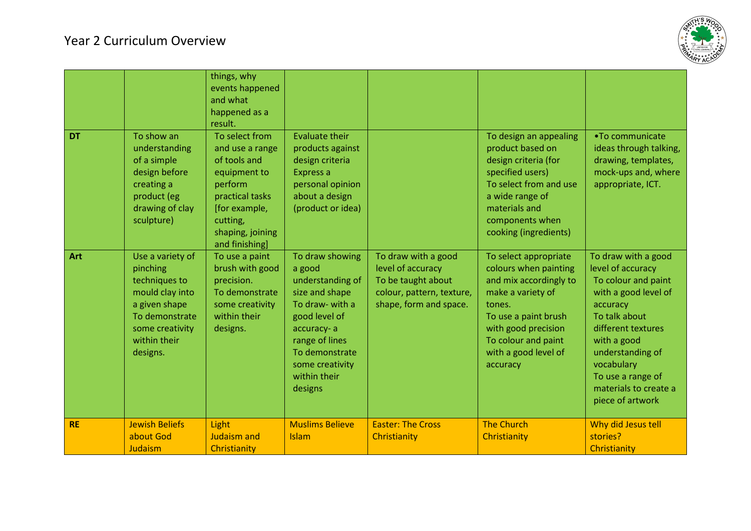

| <b>DT</b> | To show an<br>understanding<br>of a simple<br>design before<br>creating a<br>product (eg<br>drawing of clay<br>sculpture)                          | things, why<br>events happened<br>and what<br>happened as a<br>result.<br>To select from<br>and use a range<br>of tools and<br>equipment to<br>perform<br>practical tasks<br>[for example,<br>cutting,<br>shaping, joining<br>and finishing] | <b>Evaluate their</b><br>products against<br>design criteria<br>Express a<br>personal opinion<br>about a design<br>(product or idea)                                                                |                                                                                                                       | To design an appealing<br>product based on<br>design criteria (for<br>specified users)<br>To select from and use<br>a wide range of<br>materials and<br>components when<br>cooking (ingredients)                  | •To communicate<br>ideas through talking,<br>drawing, templates,<br>mock-ups and, where<br>appropriate, ICT.                                                                                                                                                  |
|-----------|----------------------------------------------------------------------------------------------------------------------------------------------------|----------------------------------------------------------------------------------------------------------------------------------------------------------------------------------------------------------------------------------------------|-----------------------------------------------------------------------------------------------------------------------------------------------------------------------------------------------------|-----------------------------------------------------------------------------------------------------------------------|-------------------------------------------------------------------------------------------------------------------------------------------------------------------------------------------------------------------|---------------------------------------------------------------------------------------------------------------------------------------------------------------------------------------------------------------------------------------------------------------|
| Art       | Use a variety of<br>pinching<br>techniques to<br>mould clay into<br>a given shape<br>To demonstrate<br>some creativity<br>within their<br>designs. | To use a paint<br>brush with good<br>precision.<br>To demonstrate<br>some creativity<br>within their<br>designs.                                                                                                                             | To draw showing<br>a good<br>understanding of<br>size and shape<br>To draw- with a<br>good level of<br>accuracy-a<br>range of lines<br>To demonstrate<br>some creativity<br>within their<br>designs | To draw with a good<br>level of accuracy<br>To be taught about<br>colour, pattern, texture,<br>shape, form and space. | To select appropriate<br>colours when painting<br>and mix accordingly to<br>make a variety of<br>tones.<br>To use a paint brush<br>with good precision<br>To colour and paint<br>with a good level of<br>accuracy | To draw with a good<br>level of accuracy<br>To colour and paint<br>with a good level of<br>accuracy<br>To talk about<br>different textures<br>with a good<br>understanding of<br>vocabulary<br>To use a range of<br>materials to create a<br>piece of artwork |
| <b>RE</b> | <b>Jewish Beliefs</b><br>about God<br>Judaism                                                                                                      | Light<br><b>Judaism and</b><br>Christianity                                                                                                                                                                                                  | <b>Muslims Believe</b><br><b>Islam</b>                                                                                                                                                              | <b>Easter: The Cross</b><br>Christianity                                                                              | <b>The Church</b><br>Christianity                                                                                                                                                                                 | Why did Jesus tell<br>stories?<br>Christianity                                                                                                                                                                                                                |